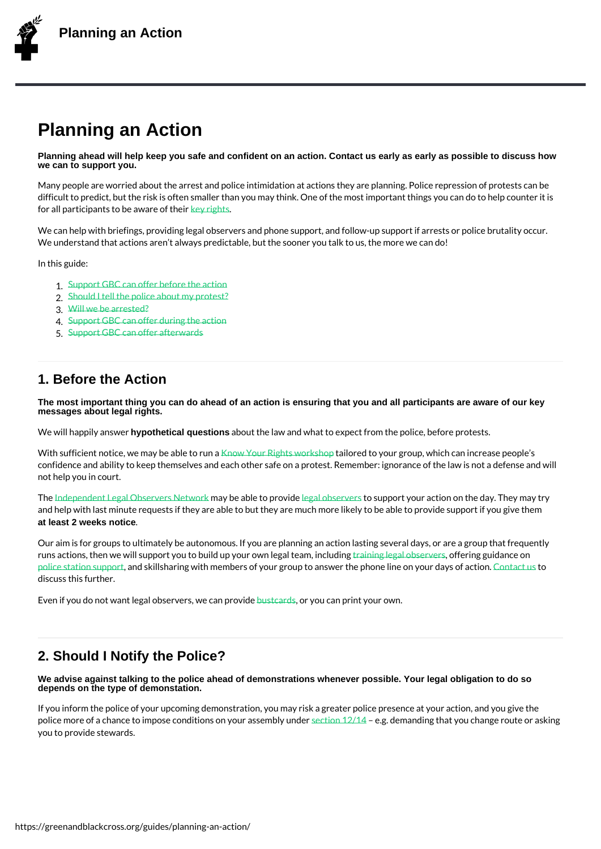# Planning an Action

Planning ahead will help keep you safe and confident on an action. Contact us early as early as possible to discuss how we can to support you.

Many people are worried about the arrest and police intimidation at actions they are plan difficult to predict, but the risk is often smaller than you may think. One of the most imp for all participants to be eawnard to their

We can help with briefings, providing legal observers and phone support, and follow-up s We understand that actions aren t always predictable, but the sooner you talk to us, the

In this guide:

- 1.Support GBC can offer before the action 2.Should I tell the police about my protest? 3.Will we be arrested? 4.Support GBC can offer during the action
- 5.[Support GBC can offer a](https://greenandblackcross.org/guides/planning-an-action/1-before/)fterwards

## 1. B[efore the Action](https://greenandblackcross.org/guides/planning-an-action/5-after/)

The most important thing you can do ahead of an action is ensuring that you and all participants are aware of our key messages about legal rights.

We will happily y parthetical questions about the law and what to expect from the police, before p

With sufficient notice, we maky a be a Koller thight is a wail a send ploy your group, which can increase confidence and ability to keep themselves and each other safe on a protest. Remember: i not help you in court.

The ndependent Legal Obsermary shee able the pactual detro estupport your action on the day. The and help with last minute requests if they are able to but they are much more likely to be at least 2 weeks notice .

O[ur aim is for groups to ul](legal-observer-network@protonmail.com)timately be a[utonomous](/guides/what-is-a-legal-observer/). If you are planning an action lasting a runs actions, then we will support you to build upprysionuin.gow.on.geleel.goallookfe-eamming gingouliuddainninge on police station, saund pskillsharing with members of your group to answer the aphonome sline on your days of action. discuss this further.

Even if you do not want legal obsebnusetnsa, rooten coaun operoor vpidient your own.

### 2. Should I Notify the Police?

We advise against talking to the police ahead of demonstrations whenever possible. Your legal obligation to do so depends on the type of demonstation.

If you inform the police of your upcoming demonstration, you may risk a greater police pr police more of a chance to impose conditions to any offer alges demanding in the section net you change rout you to provide stewards.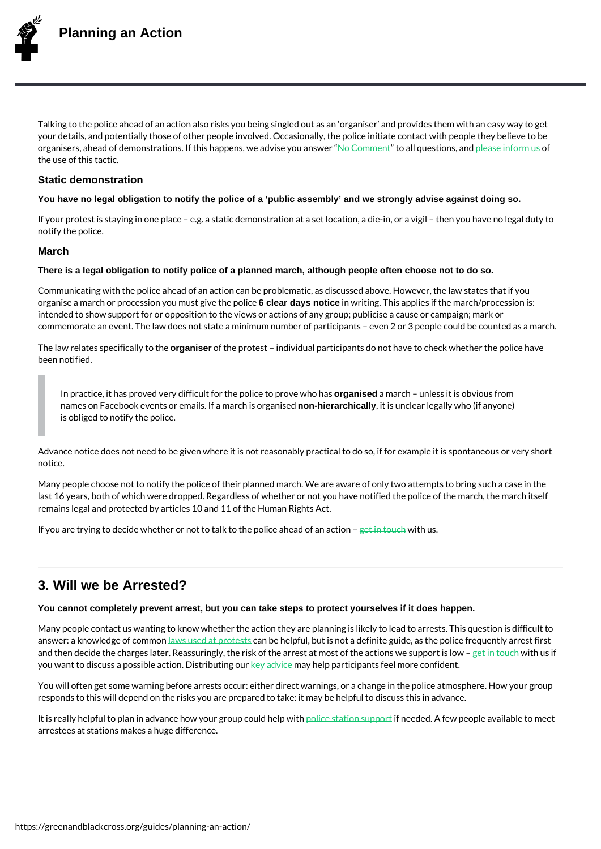Talking to the police ahead of an action also risks you being singled out as an organise your details, and potentially those of other people involved. Occasionally, the police init organisers, ahead of demonstrations. If this haNppe2nosm, mwenen bandNi**s,e** eysotwidas.ness.wasemid\_foofm us the use of this tactic.

#### Static demonstration

You have no legal obligation to notify the police of a 'public assembly' and [we strongly ad](/guides/key-advice/)vise against doing s[o.](/contact/)

If your protest is staying in one place e.g. a static demonstration at a set location, a d notify the police.

#### March

There is a legal obligation to notify police of a planned march, although people often choose not to do so.

Communicating with the police ahead of an action can be problematic, as discussed abov organise a march or procession y oGudemanudayts gottice the wproitioneg. This applies if the march/proce intended to show support for or opposition to the views or actions of any group; publicise commemorate an event. The law does not state a minimum number of participants even :

The law relates specoirgiaciaelly ot fo the eprotest individual participants do not have to check w been notified.

In practice, it has proved very difficult fo**organesepole consect organised of the prove** levels obvious from names on Facebook events or emails non-hieerannonhaceultyh is toirsgaumics leedar legally who (if anyone) is obliged to notify the police.

Advance notice does not need to be given where it is not reasonably practical to do so, i notice.

Many people choose not to notify the police of their planned march. We are aware of only last 16 years, both of which were dropped. Regardless of whether or not you have notifie remains legal and protected by articles 10 and 11 of the Human Rights Act.

If you are trying to decide whether or not to talk the flow the boow liber beachead of an action

### 3. Will we be Arrested?

You cannot completely prevent arrest, but you can take steps to protect yourselves if it does happen.

Many people contact us wanting to know whether the action they are planning is likely to answer: a knowledge *ant* scommando at pracntebsets helpful, but is not a definite guide, as the police and then decide the charges later. Reassuringly, the risk of the arrest iant traworleth outs thie act you want to discuss a possible adstein. Albrid beling and the tip and the feel more confident.

You will often get s[ome warning](/guides/laws/) before arrests occur: either direct warnings, or a change responds to this will depend on the risks you are prepared to take: [it may](https://greenandblackcross.org/contact/) be helpful to d

It is really helpful to plan in ad[vance h](https://greenandblackcross.org/guides/key-advice/)ow police gsnowipolocoistulm, dependent in supporte available to meet arrestees at stations makes a huge difference.